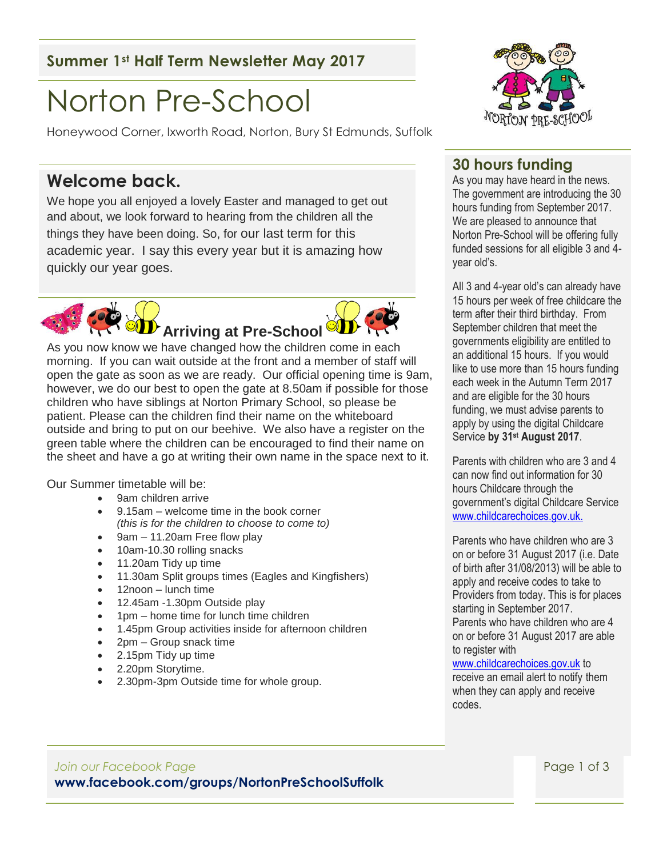# **Summer 1st Half Term Newsletter May 2017**

# Norton Pre-School

Honeywood Corner, Ixworth Road, Norton, Bury St Edmunds, Suffolk

# **Welcome back.**

We hope you all enjoyed a lovely Easter and managed to get out and about, we look forward to hearing from the children all the things they have been doing. So, for our last term for this academic year. I say this every year but it is amazing how quickly our year goes.



As you now know we have changed how the children come in each morning. If you can wait outside at the front and a member of staff will open the gate as soon as we are ready. Our official opening time is 9am, however, we do our best to open the gate at 8.50am if possible for those children who have siblings at Norton Primary School, so please be patient. Please can the children find their name on the whiteboard outside and bring to put on our beehive. We also have a register on the green table where the children can be encouraged to find their name on the sheet and have a go at writing their own name in the space next to it.

Our Summer timetable will be:

- 9am children arrive
- 9.15am welcome time in the book corner *(this is for the children to choose to come to)*
- 9am 11.20am Free flow play
- 10am-10.30 rolling snacks
- 11.20am Tidy up time
- 11.30am Split groups times (Eagles and Kingfishers)
- 12noon lunch time
- 12.45am -1.30pm Outside play
- 1pm home time for lunch time children
- 1.45pm Group activities inside for afternoon children
- 2pm Group snack time
- 2.15pm Tidy up time
- 2.20pm Storytime.
- 2.30pm-3pm Outside time for whole group.



## **30 hours funding**

As you may have heard in the news. The government are introducing the 30 hours funding from September 2017. We are pleased to announce that Norton Pre-School will be offering fully funded sessions for all eligible 3 and 4 year old's.

All 3 and 4-year old's can already have 15 hours per week of free childcare the term after their third birthday. From September children that meet the governments eligibility are entitled to an additional 15 hours. If you would like to use more than 15 hours funding each week in the Autumn Term 2017 and are eligible for the 30 hours funding, we must advise parents to apply by using the digital Childcare Service **by 31st August 2017**.

Parents with children who are 3 and 4 can now find out information for 30 hours Childcare through the government's digital Childcare Service [www.childcarechoices.gov.uk.](http://www.childcarechoices.gov.uk/)

Parents who have children who are 3 on or before 31 August 2017 (i.e. Date of birth after 31/08/2013) will be able to apply and receive codes to take to Providers from today. This is for places starting in September 2017. Parents who have children who are 4 on or before 31 August 2017 are able to register with

#### [www.childcarechoices.gov.uk](https://l.facebook.com/l.php?u=http%3A%2F%2Fwww.childcarechoices.gov.uk%2F&h=ATMrRbFabUXqXq1Rm5aBqeY_dnImfhKlw5imjpiDRTnwPRVW19b64vdzliZYwbZeGkHSR8TxvizGsIbq_OWTatbFsPxFIqy3-5fA5w2W0ttYmY3h4wF6xRnaRKBKstd7SKLFLcxIVRPE_ulhejk&enc=AZMONjJ30mc49p9hJXskv4u8j0QfoEDLdvG-0zchvQ50paAGMU2btdiL_dxti2IpDY1L6Zq61k946GcLEQHqHC4wDoH6QZ6HlftFGc-xHSL6UG-rFZs1WNyy68IuYD-nUWGFiRV_yGm4qOZg1737GuVsDwqs21KixdFgIqCvgVSF4cf7yK6ftooYKVq3SNoydPo&s=1) to receive an email alert to notify them when they can apply and receive codes.

## *Join our Facebook Page*  **www.facebook.com/groups/NortonPreSchoolSuffolk**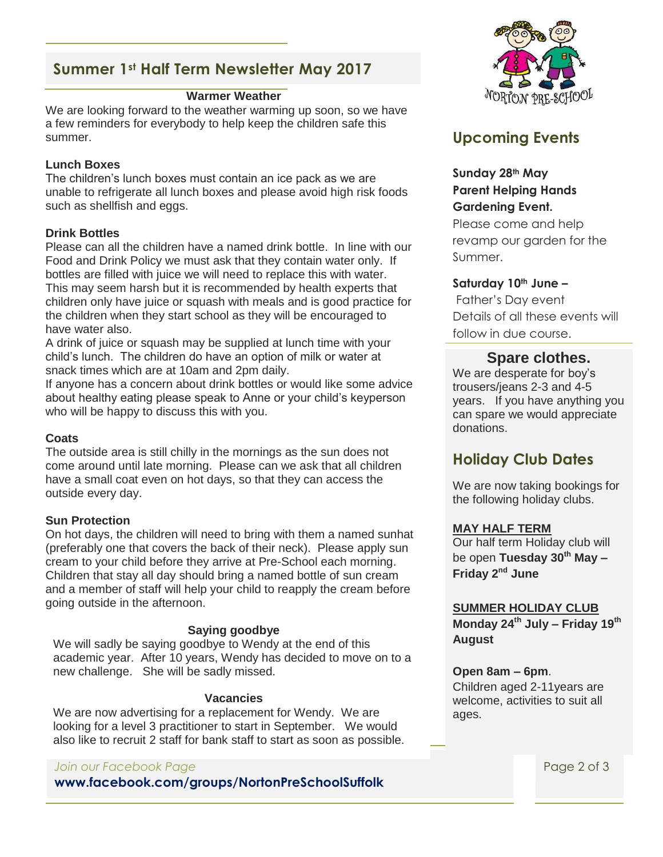# **Summer 1st Half Term Newsletter May 2017**

#### **Warmer Weather**

We are looking forward to the weather warming up soon, so we have a few reminders for everybody to help keep the children safe this summer.

#### **Lunch Boxes**

The children's lunch boxes must contain an ice pack as we are unable to refrigerate all lunch boxes and please avoid high risk foods such as shellfish and eggs.

#### **Drink Bottles**

Please can all the children have a named drink bottle. In line with our Food and Drink Policy we must ask that they contain water only. If bottles are filled with juice we will need to replace this with water. This may seem harsh but it is recommended by health experts that children only have juice or squash with meals and is good practice for the children when they start school as they will be encouraged to have water also.

A drink of juice or squash may be supplied at lunch time with your child's lunch. The children do have an option of milk or water at snack times which are at 10am and 2pm daily.

If anyone has a concern about drink bottles or would like some advice about healthy eating please speak to Anne or your child's keyperson who will be happy to discuss this with you.

#### **Coats**

The outside area is still chilly in the mornings as the sun does not come around until late morning. Please can we ask that all children have a small coat even on hot days, so that they can access the outside every day.

#### **Sun Protection**

On hot days, the children will need to bring with them a named sunhat (preferably one that covers the back of their neck). Please apply sun cream to your child before they arrive at Pre-School each morning. Children that stay all day should bring a named bottle of sun cream and a member of staff will help your child to reapply the cream before going outside in the afternoon.

#### **Saying goodbye**

We will sadly be saying goodbye to Wendy at the end of this academic year. After 10 years, Wendy has decided to move on to a new challenge. She will be sadly missed.

#### **Vacancies**

We are now advertising for a replacement for Wendy. We are looking for a level 3 practitioner to start in September. We would also like to recruit 2 staff for bank staff to start as soon as possible.

#### *Join our Facebook Page*

**www.facebook.com/groups/NortonPreSchoolSuffolk**



# **Upcoming Events**

#### **Sunday 28th May Parent Helping Hands Gardening Event.**

Please come and help revamp our garden for the Summer.

#### **Saturday 10th June –**

Father's Day event Details of all these events will follow in due course.

### **Spare clothes.**

We are desperate for boy's trousers/jeans 2-3 and 4-5 years. If you have anything you can spare we would appreciate donations.

# **Holiday Club Dates**

We are now taking bookings for the following holiday clubs.

#### **MAY HALF TERM**

Our half term Holiday club will be open **Tuesday 30th May – Friday 2<sup>nd</sup> June** 

#### **SUMMER HOLIDAY CLUB**

**Monday 24th July – Friday 19th August**

#### **Open 8am – 6pm**.

Children aged 2-11years are welcome, activities to suit all ages.